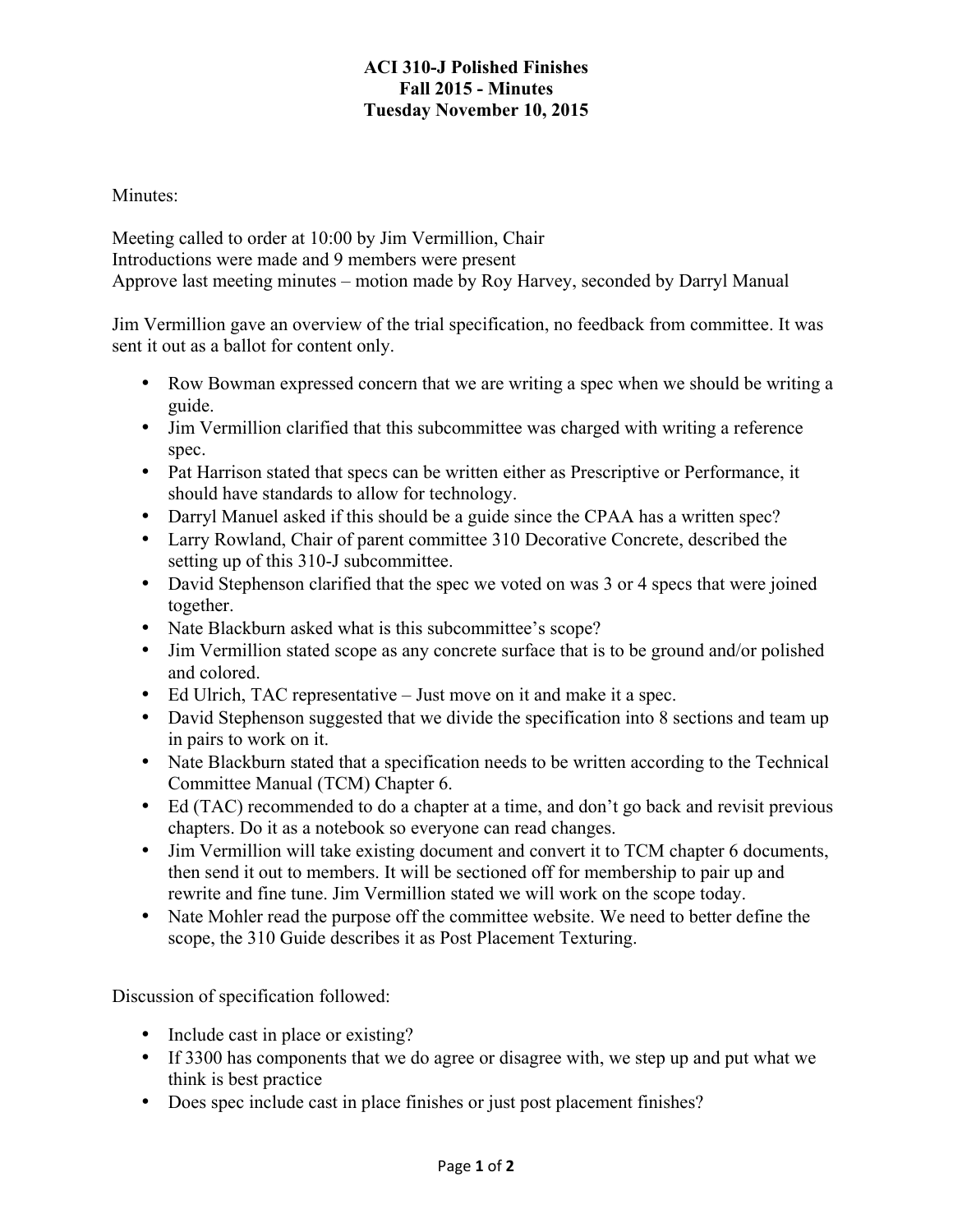## **ACI 310-J Polished Finishes Fall 2015 - Minutes Tuesday November 10, 2015**

Minutes:

Meeting called to order at 10:00 by Jim Vermillion, Chair Introductions were made and 9 members were present Approve last meeting minutes – motion made by Roy Harvey, seconded by Darryl Manual

Jim Vermillion gave an overview of the trial specification, no feedback from committee. It was sent it out as a ballot for content only.

- Row Bowman expressed concern that we are writing a spec when we should be writing a guide.
- Jim Vermillion clarified that this subcommittee was charged with writing a reference spec.
- Pat Harrison stated that specs can be written either as Prescriptive or Performance, it should have standards to allow for technology.
- Darryl Manuel asked if this should be a guide since the CPAA has a written spec?
- Larry Rowland, Chair of parent committee 310 Decorative Concrete, described the setting up of this 310-J subcommittee.
- David Stephenson clarified that the spec we voted on was 3 or 4 specs that were joined together.
- Nate Blackburn asked what is this subcommittee's scope?
- Jim Vermillion stated scope as any concrete surface that is to be ground and/or polished and colored.
- Ed Ulrich, TAC representative Just move on it and make it a spec.
- David Stephenson suggested that we divide the specification into 8 sections and team up in pairs to work on it.
- Nate Blackburn stated that a specification needs to be written according to the Technical Committee Manual (TCM) Chapter 6.
- Ed (TAC) recommended to do a chapter at a time, and don't go back and revisit previous chapters. Do it as a notebook so everyone can read changes.
- Jim Vermillion will take existing document and convert it to TCM chapter 6 documents, then send it out to members. It will be sectioned off for membership to pair up and rewrite and fine tune. Jim Vermillion stated we will work on the scope today.
- Nate Mohler read the purpose off the committee website. We need to better define the scope, the 310 Guide describes it as Post Placement Texturing.

Discussion of specification followed:

- Include cast in place or existing?
- If 3300 has components that we do agree or disagree with, we step up and put what we think is best practice
- Does spec include cast in place finishes or just post placement finishes?